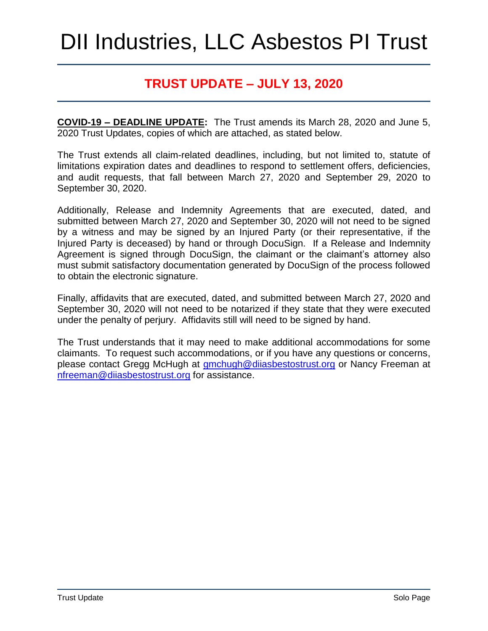# DII Industries, LLC Asbestos PI Trust

### **TRUST UPDATE – JULY 13, 2020**

**COVID-19 – DEADLINE UPDATE:** The Trust amends its March 28, 2020 and June 5, 2020 Trust Updates, copies of which are attached, as stated below.

The Trust extends all claim-related deadlines, including, but not limited to, statute of limitations expiration dates and deadlines to respond to settlement offers, deficiencies, and audit requests, that fall between March 27, 2020 and September 29, 2020 to September 30, 2020.

Additionally, Release and Indemnity Agreements that are executed, dated, and submitted between March 27, 2020 and September 30, 2020 will not need to be signed by a witness and may be signed by an Injured Party (or their representative, if the Injured Party is deceased) by hand or through DocuSign. If a Release and Indemnity Agreement is signed through DocuSign, the claimant or the claimant's attorney also must submit satisfactory documentation generated by DocuSign of the process followed to obtain the electronic signature.

Finally, affidavits that are executed, dated, and submitted between March 27, 2020 and September 30, 2020 will not need to be notarized if they state that they were executed under the penalty of perjury. Affidavits still will need to be signed by hand.

The Trust understands that it may need to make additional accommodations for some claimants. To request such accommodations, or if you have any questions or concerns, please contact Gregg McHugh at [gmchugh@diiasbestostrust.org](mailto:gmchugh@diiasbestostrust.org) or Nancy Freeman at [nfreeman@diiasbestostrust.org](mailto:nfreeman@diiasbestostrust.org) for assistance.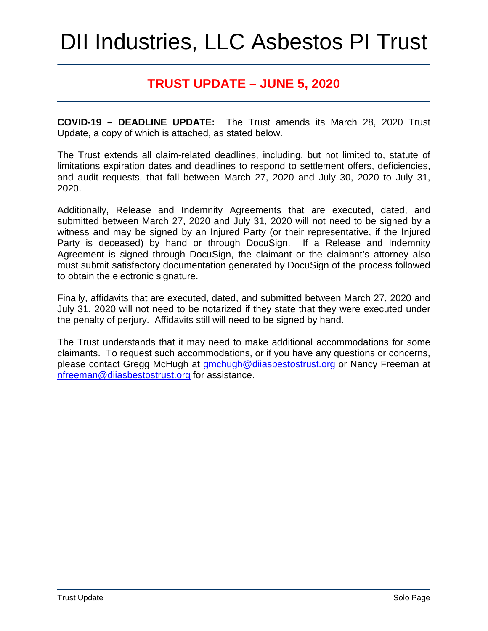# DII Industries, LLC Asbestos PI Trust

### **TRUST UPDATE – JUNE 5, 2020**

**COVID-19 – DEADLINE UPDATE:** The Trust amends its March 28, 2020 Trust Update, a copy of which is attached, as stated below.

The Trust extends all claim-related deadlines, including, but not limited to, statute of limitations expiration dates and deadlines to respond to settlement offers, deficiencies, and audit requests, that fall between March 27, 2020 and July 30, 2020 to July 31, 2020.

Additionally, Release and Indemnity Agreements that are executed, dated, and submitted between March 27, 2020 and July 31, 2020 will not need to be signed by a witness and may be signed by an Injured Party (or their representative, if the Injured Party is deceased) by hand or through DocuSign. If a Release and Indemnity Agreement is signed through DocuSign, the claimant or the claimant's attorney also must submit satisfactory documentation generated by DocuSign of the process followed to obtain the electronic signature.

Finally, affidavits that are executed, dated, and submitted between March 27, 2020 and July 31, 2020 will not need to be notarized if they state that they were executed under the penalty of perjury. Affidavits still will need to be signed by hand.

The Trust understands that it may need to make additional accommodations for some claimants. To request such accommodations, or if you have any questions or concerns, please contact Gregg McHugh at [gmchugh@diiasbestostrust.org](mailto:gmchugh@diiasbestostrust.org) or Nancy Freeman at [nfreeman@diiasbestostrust.org](mailto:nfreeman@diiasbestostrust.org) for assistance.